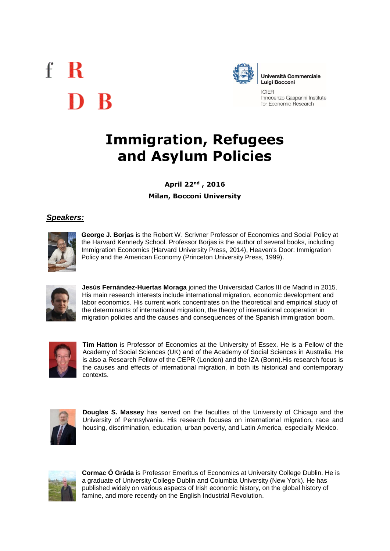# $f \, R$ D R



Università Commerciale **Luigi Bocconi** 

**IGIFR** Innocenzo Gasparini Institute for Economic Research

## **Immigration, Refugees and Asylum Policies**

**April 22nd , 2016 Milan, Bocconi University**

### *Speakers:*



**George J. Borjas** is the Robert W. Scrivner Professor of Economics and Social Policy at the Harvard Kennedy School. Professor Borjas is the author of several books, including Immigration Economics (Harvard University Press, 2014), Heaven's Door: Immigration Policy and the American Economy (Princeton University Press, 1999).



**Jesús Fernández-Huertas Moraga** joined the Universidad Carlos III de Madrid in 2015. His main research interests include international migration, economic development and labor economics. His current work concentrates on the theoretical and empirical study of the determinants of international migration, the theory of international cooperation in migration policies and the causes and consequences of the Spanish immigration boom.



**Tim Hatton** is Professor of Economics at the University of Essex. He is a Fellow of the Academy of Social Sciences (UK) and of the Academy of Social Sciences in Australia. He is also a Research Fellow of the CEPR (London) and the IZA (Bonn).His research focus is the causes and effects of international migration, in both its historical and contemporary contexts.



**Douglas S. Massey** has served on the faculties of the University of Chicago and the University of Pennsylvania. His research focuses on international migration, race and housing, discrimination, education, urban poverty, and Latin America, especially Mexico.



**Cormac Ó Gráda** is Professor Emeritus of Economics at University College Dublin. He is a graduate of University College Dublin and Columbia University (New York). He has published widely on various aspects of Irish economic history, on the global history of famine, and more recently on the English Industrial Revolution.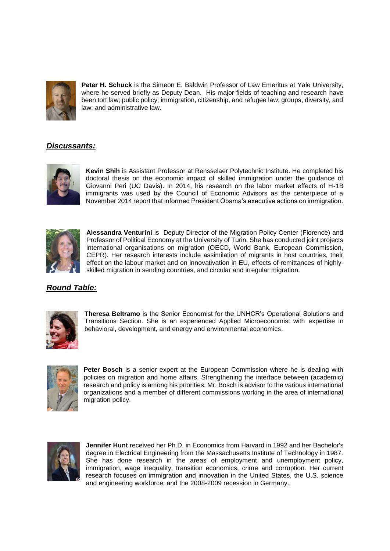

**Peter H. Schuck** is the Simeon E. Baldwin Professor of Law Emeritus at Yale University, where he served briefly as Deputy Dean. His major fields of teaching and research have been tort law; public policy; immigration, citizenship, and refugee law; groups, diversity, and law; and administrative law.

#### *Discussants:*



**Kevin Shih** is Assistant Professor at Rensselaer Polytechnic Institute. He completed his doctoral thesis on the economic impact of skilled immigration under the guidance of Giovanni Peri (UC Davis). In 2014, his research on the labor market effects of H-1B immigrants was used by the Council of Economic Advisors as the centerpiece of a November 2014 report that informed President Obama's executive actions on immigration.



**Alessandra Venturini** is Deputy Director of the Migration Policy Center (Florence) and Professor of Political Economy at the University of Turin. She has conducted joint projects international organisations on migration (OECD, World Bank, European Commission, CEPR). Her research interests include assimilation of migrants in host countries, their effect on the labour market and on innovativation in EU, effects of remittances of highlyskilled migration in sending countries, and circular and irregular migration.

#### *Round Table:*



**Theresa Beltramo** is the Senior Economist for the UNHCR's Operational Solutions and Transitions Section. She is an experienced Applied Microeconomist with expertise in behavioral, development, and energy and environmental economics.



**Peter Bosch** is a senior expert at the European Commission where he is dealing with policies on migration and home affairs. Strengthening the interface between (academic) research and policy is among his priorities. Mr. Bosch is advisor to the various international organizations and a member of different commissions working in the area of international migration policy.



**Jennifer Hunt** received her Ph.D. in Economics from Harvard in 1992 and her Bachelor's degree in Electrical Engineering from the Massachusetts Institute of Technology in 1987. She has done research in the areas of employment and unemployment policy, immigration, wage inequality, transition economics, crime and corruption. Her current research focuses on immigration and innovation in the United States, the U.S. science and engineering workforce, and the 2008-2009 recession in Germany.